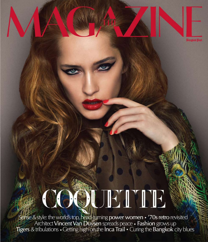# COOUETTE

Sense & style: the world's top, head-turning power women • '70s retro revisited<br>Architect Vincent Van Duysen spreads peace • Fashion grows up<br>Tigers & tribulations • Getting high on the Inca Trail • Curing the Bangkok city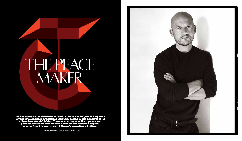# THE PEACE MAKER

**Don't be fooled by the hard-man exterior; Vincent Van Duysen is Belgium's conjuror of calm. Sober yet spirited interiors. Serene homes and light-filled offices. Monumental tables. These are just some of the rigorous yet peaceful forms that this discreet architect and interior designer creates from his base in one of Europe's most discreet cities.**

by max crosbie-jones / with thanks to b&b italia

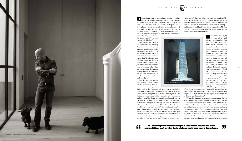he unschooled might be tempted to call Vincent a minimalist, but there are those who think purist better describes his approach. Alberto Campo Baeza, a Spanish architect who numbers among his champions (and there are many of them), sees Vincent's work as being not part of the often cold and bloodless less-is-more tradition but the deeper, more-with-less tradition. He likens it to poetry – the memorable sort. "Good poetry, true poetry, is far from 'literary minimalism'; it is the fascinating ability to choose just a few words that can take us to a place of sublime beauty, deeply moving our hearts and minds – like Shakespeare or St John

was homesick," he says of that time. "And I've always been an individualist." espite being home to an inordinate amount of cuttingedge talent, including fashion mavericks such as Dries Van Noten and Raf Simons, Antwerp likes to keep a low profile. And the same is true of Vincent Van Duysen, one of this Medieval port city's most talented residents. Born in 1962 in the Belgium town of Lokeren, this architect left for Milan in his early twenties, during "the peak of post-modernism," E E INT<br>
but he came back, including fashion mavericks such as Dries<br>
van Noten and Raf Simons, Antwerp likes to keep a low<br>
profile. And the same is true of Vincent Van Duysen, one of<br>
this Medieval port city's most talen

> of the Cross," Alberto writes. "'More with less' architecture works in the same way. No more and no less, just enough; Van Duysen is no more and no less than a poet of contemporary architecture, and a good one."

> Though his eagerness to get across his point means that his sentences sometimes trail off or trip over one another, Vincent is also a good conversationalist. When I meet him in Milan, he talks openly and lucidly of his outlook and approach. That shaved head gives him an air of don't-mess-with-me gruffness, but a warmth radiates from behind those piercing eyes. And when, at one point, I ask what his two most precious objects are, he looks at me as if I'm mad, smiles and says: "My two dachshunds." It is a tongue-in-cheek answer to a serious question, but a revealing one, as it suggests that he believes no

> > "

 For Vincent, now 53, there was something too rat-racey about Milan. It wasn't for him; Antwerp, with its more insular atmosphere conducive to the solitary and sustained pursuit of one's craft, was. "I've always been a little bit off to the side, off track, doing my things in my own world," he says, "and I just felt much more at ease here in my own country where there was less pressure. In Antwerp we work mostly as individuals and are less competitive, so I prefer to isolate myself and work from here."

Like he and his adopted city, Vincent's constructions are also understated. Take his home in Antwerp's city centre. Dating back to the 17th century, it had, when he bought it in 1999, a lot of potential – a handsome white neo-classical 19th century facade, a huge black door and a private garden – but the interiors were crying out for renovation and restructuring. And they were big. "In the beginning I thought this is too big. I'm going to lose myself in this house," he says. But after much intense work – one year of planning, two years of construction – he now calls it his sanctuary. "Each time when I've been travelling and come back home it's like entering a temple," he says. "All the stress falls off me and it's very contemplative. It's very calming." He's not wrong. Inside, natural light spills onto bone-coloured walls, wooden floors and the odd object or piece of furniture (old Iranian carpets, works of contemporary art, sofas by Axel Vervoordt, etc). Though he says it is more

"

E RVI E W

"anonymous" than his other projects, it's unmistakably a Van Duysen space – tactile, alluring and balanced, its elements all complement and enjoy a natural conversation with one another. It hums with a diffuse sort of serenity – and demonstrates, like all his projects, that, as Chris Meplon puts it, "a room or building can still appeal to the senses without slanting walls or flowers."

**In Antwerp we work mostly as individuals and are less competitive, so I prefer to isolate myself and work from here.**



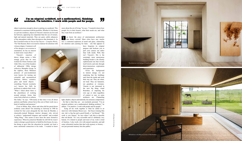object is precious enough to deserve putting on a pedestal. This sentiment is consistent with his portfolio. Whether it's his home or a private residence, objects in Vincent's interiors are few and far between, appearing less important than his use of texture, light and natural materials. They are quiet, subtle enhancers of the atmosphere rather than showpieces that dominate it. As Ilse Crawford writes in *Vincent Van Duysen – Complete Works*, "For Van Dyusen, there is no need to clamour for attention with

virtuoso shapes. Common to all of his designs is an aversion to ostentation; he has no interest in short-term visual effect."

Vincent's rejection of showy things seems a little strange given that he once worked for Ettore Sottsass and Aldo Cibic, two of the founders of influential 1980s design collective Memphis Group. In the eighties, these Milanese pioneers of post-modernism were known for turning out colourful and asymmetrical furniture, fabrics, ceramics, glass and metal objects – something Vincent resolutely *isn't* known for. Still, he professes to admire their work. "What I liked about them is the playfulness of working around primary forms that come from tribal art or cultures N ou know the piece of entertainment architecture<br>that draws crowds? Most cities have one maybe that draws crowds? Most cities have one, maybe two: a contorted explosion of metal and glass, clamouring for attention and yearning for fame – one that appears to

like India," he says. "Obviously at that time it was all about patterns and flashy colours but at the core of their work was a kind of tradition and pureness."

If not in Milan, then, where and when did his pared-down aesthetic come about? On returning to Antwerp in 1988 he worked for four years alongside the late Jean de Meulder, a classically-trained Belgium interior designer who strived to achieve "understated elegance and warmth" and avoided "bling bling." This seems to have been the more formative experience. When he joined de Meulder he still felt he wasn't ready to design a good interior or build his first house, he says, but doing so gave him the education he needed, not least a more emotional connection to his trade. *"*I wanted to know

THE MAGAZINE HE INTERVIEW

## $\epsilon$ **I'm an atypical architect, not a mathematical, thinking architect. I'm intuitive. I work with people and for people.**



more about the art of living," he says. "I wanted to know how people live in their houses, what their needs are, and what they want from an architect."

> have forgotten its original purpose and beckons you to pull your camera out rather than walk inside. Well, that isn't Vincent's. His is the seemingly more anonymous building beside it, the silently sophisticated one that reveals itself slowly and only through direct interaction – exploration and experience.

Given his background in interior design, it's not surprising that his buildings start from the inside and work their way out. They are silent, not loud. They are humanist, not grandiose or visionary. Vincent is not interested in the next big thing, visual flourishes, or imposing his own ego or rules regardless of context or user, as some architects are. Channeling

light, shadow, objects and materials, his sensuous compositions – for that is what they are – are resolutely personal. "I'm an atypical architect, not a mathematical, thinking architect," he admits. "I'm intuitive. I work with people and for people."

Tying all his work together is what he called in an interview with Julianne Moore (yes – the Oscar winning film star: she's a big fan and a good friend), a "red thread." "My work is very honest," he says when I ask him to describe that red thread. "It's very accessible and it's definitely very human. It's related to people and most of my work is kind of timeless. I also work a lot with natural materials, and add some referential touches that deal with memory or history – not just personal memory but also public."





Photos by Juan Rodriquez.